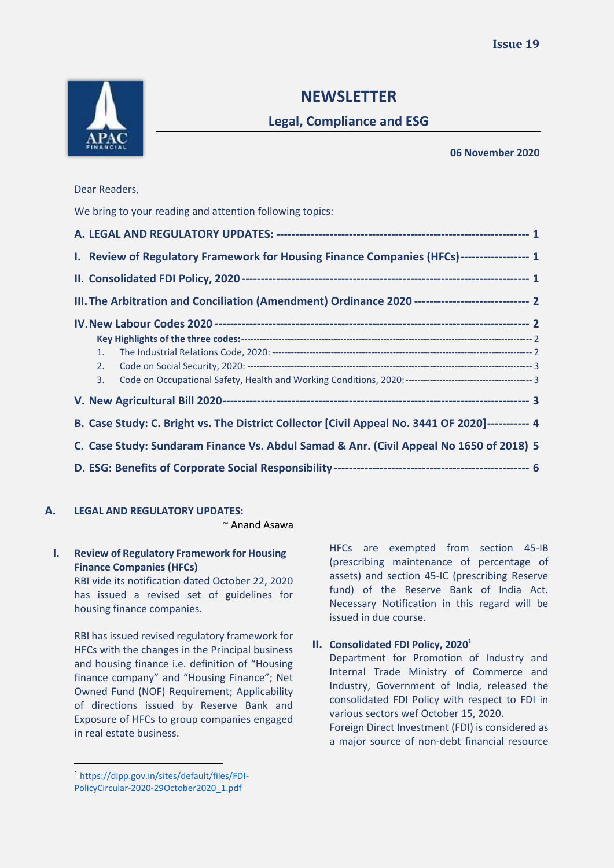

# **NEWSLETTER**

## **Legal, Compliance and ESG**

**06 November 2020**

| We bring to your reading and attention following topics:                                         |  |
|--------------------------------------------------------------------------------------------------|--|
|                                                                                                  |  |
| I. Review of Regulatory Framework for Housing Finance Companies (HFCs)------------------ 1       |  |
|                                                                                                  |  |
| III. The Arbitration and Conciliation (Amendment) Ordinance 2020 ----------------------------- 2 |  |
|                                                                                                  |  |
|                                                                                                  |  |
| 1.                                                                                               |  |
| 2.                                                                                               |  |
| 3.                                                                                               |  |
|                                                                                                  |  |
| B. Case Study: C. Bright vs. The District Collector [Civil Appeal No. 3441 OF 2020]----------- 4 |  |
| C. Case Study: Sundaram Finance Vs. Abdul Samad & Anr. (Civil Appeal No 1650 of 2018) 5          |  |
|                                                                                                  |  |
|                                                                                                  |  |

## <span id="page-0-0"></span>**A. LEGAL AND REGULATORY UPDATES:**

~ Anand Asawa

## <span id="page-0-1"></span>**I. Review of Regulatory Framework for Housing Finance Companies (HFCs)**

RBI vide its notification dated October 22, 2020 has issued a revised set of guidelines for housing finance companies.

RBI has issued revised regulatory framework for HFCs with the changes in the Principal business and housing finance i.e. definition of "Housing finance company" and "Housing Finance"; Net Owned Fund (NOF) Requirement; Applicability of directions issued by Reserve Bank and Exposure of HFCs to group companies engaged in real estate business.

HFCs are exempted from section 45-IB (prescribing maintenance of percentage of assets) and section 45-IC (prescribing Reserve fund) of the Reserve Bank of India Act. Necessary Notification in this regard will be issued in due course.

## <span id="page-0-2"></span>**II. Consolidated FDI Policy, 2020<sup>1</sup>**

Department for Promotion of Industry and Internal Trade Ministry of Commerce and Industry, Government of India, released the consolidated FDI Policy with respect to FDI in various sectors wef October 15, 2020.

Foreign Direct Investment (FDI) is considered as a major source of non-debt financial resource

<sup>1</sup> https://dipp.gov.in/sites/default/files/FDI-PolicyCircular-2020-29October2020\_1.pdf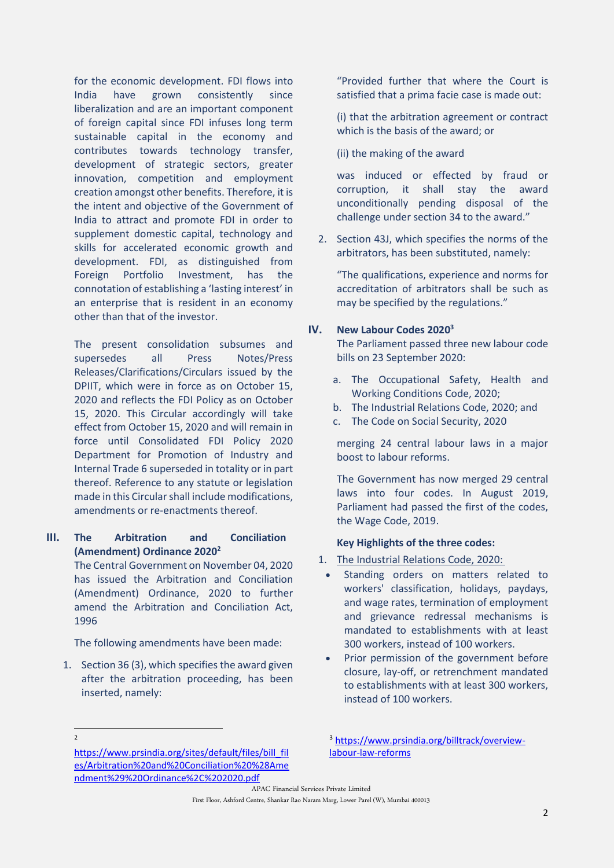for the economic development. FDI flows into India have grown consistently since liberalization and are an important component of foreign capital since FDI infuses long term sustainable capital in the economy and contributes towards technology transfer, development of strategic sectors, greater innovation, competition and employment creation amongst other benefits. Therefore, it is the intent and objective of the Government of India to attract and promote FDI in order to supplement domestic capital, technology and skills for accelerated economic growth and development. FDI, as distinguished from Foreign Portfolio Investment, has the connotation of establishing a 'lasting interest' in an enterprise that is resident in an economy other than that of the investor.

The present consolidation subsumes and supersedes all Press Notes/Press Releases/Clarifications/Circulars issued by the DPIIT, which were in force as on October 15, 2020 and reflects the FDI Policy as on October 15, 2020. This Circular accordingly will take effect from October 15, 2020 and will remain in force until Consolidated FDI Policy 2020 Department for Promotion of Industry and Internal Trade 6 superseded in totality or in part thereof. Reference to any statute or legislation made in this Circular shall include modifications, amendments or re-enactments thereof.

#### <span id="page-1-0"></span>**III. The Arbitration and Conciliation (Amendment) Ordinance 2020<sup>2</sup>**

The Central Government on November 04, 2020 has issued the Arbitration and Conciliation (Amendment) Ordinance, 2020 to further amend the Arbitration and Conciliation Act, 1996

The following amendments have been made:

1. Section 36 (3), which specifies the award given after the arbitration proceeding, has been inserted, namely:

"Provided further that where the Court is satisfied that a prima facie case is made out:

(i) that the arbitration agreement or contract which is the basis of the award; or

(ii) the making of the award

was induced or effected by fraud or corruption, it shall stay the award unconditionally pending disposal of the challenge under section 34 to the award."

2. Section 43J, which specifies the norms of the arbitrators, has been substituted, namely:

"The qualifications, experience and norms for accreditation of arbitrators shall be such as may be specified by the regulations."

#### <span id="page-1-1"></span>**IV. New Labour Codes 2020<sup>3</sup>**

The Parliament passed three new labour code bills on 23 September 2020:

- a. The Occupational Safety, Health and Working Conditions Code, 2020;
- b. The Industrial Relations Code, 2020; and
- c. The Code on Social Security, 2020

merging 24 central labour laws in a major boost to [labour reforms.](https://www.hindustantimes.com/india-news/parties-gear-up-to-oppose-three-labour-code-bills-in-parliament/story-Jl3yAgW1YWKbLBbloZvAmI.html)

The Government has now merged 29 central laws into four codes. In August 2019, Parliament had passed the first of the codes, the Wage Code, 2019.

#### <span id="page-1-2"></span>**Key Highlights of the three codes:**

- <span id="page-1-3"></span>1. The Industrial Relations Code, 2020:
	- Standing orders on matters related to workers' classification, holidays, paydays, and wage rates, termination of employment and grievance redressal mechanisms is mandated to establishments with at least 300 workers, instead of 100 workers.
	- Prior permission of the government before closure, lay-off, or retrenchment mandated to establishments with at least 300 workers, instead of 100 workers.

 $\overline{2}$ 

APAC Financial Services Private Limited First Floor, Ashford Centre, Shankar Rao Naram Marg, Lower Parel (W), Mumbai 400013

[https://www.prsindia.org/sites/default/files/bill\\_fil](https://www.prsindia.org/sites/default/files/bill_files/Arbitration%20and%20Conciliation%20%28Amendment%29%20Ordinance%2C%202020.pdf) [es/Arbitration%20and%20Conciliation%20%28Ame](https://www.prsindia.org/sites/default/files/bill_files/Arbitration%20and%20Conciliation%20%28Amendment%29%20Ordinance%2C%202020.pdf) [ndment%29%20Ordinance%2C%202020.pdf](https://www.prsindia.org/sites/default/files/bill_files/Arbitration%20and%20Conciliation%20%28Amendment%29%20Ordinance%2C%202020.pdf)

<sup>3</sup> [https://www.prsindia.org/billtrack/overview](https://www.prsindia.org/billtrack/overview-labour-law-reforms)[labour-law-reforms](https://www.prsindia.org/billtrack/overview-labour-law-reforms)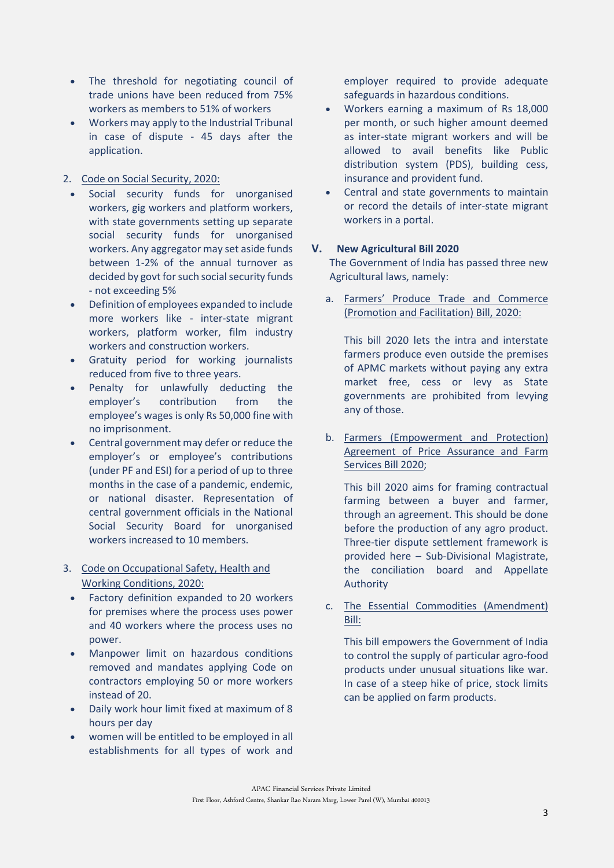- The threshold for negotiating council of trade unions have been reduced from 75% workers as members to 51% of workers
- Workers may apply to the Industrial Tribunal in case of dispute - 45 days after the application.

### <span id="page-2-0"></span>2. Code on Social Security, 2020:

- Social security funds for unorganised workers, gig workers and platform workers, with state governments setting up separate social security funds for unorganised workers. Any aggregator may set aside funds between 1-2% of the annual turnover as decided by govt for such social security funds - not exceeding 5%
- Definition of employees expanded to include more workers like - inter-state migrant workers, platform worker, film industry workers and construction workers.
- Gratuity period for working journalists reduced from five to three years.
- Penalty for unlawfully deducting the employer's contribution from the employee's wages is only Rs 50,000 fine with no imprisonment.
- Central government may defer or reduce the employer's or employee's contributions (under PF and ESI) for a period of up to three months in the case of a pandemic, endemic, or national disaster. Representation of central government officials in the National Social Security Board for unorganised workers increased to 10 members.

### <span id="page-2-1"></span>3. Code on Occupational Safety, Health and Working Conditions, 2020:

- Factory definition expanded to 20 workers for premises where the process uses power and 40 workers where the process uses no power.
- Manpower limit on hazardous conditions removed and mandates applying Code on contractors employing 50 or more workers instead of 20.
- Daily work hour limit fixed at maximum of 8 hours per day
- women will be entitled to be employed in all establishments for all types of work and

employer required to provide adequate safeguards in hazardous conditions.

- Workers earning a maximum of Rs 18,000 per month, or such higher amount deemed as inter-state migrant workers and will be allowed to avail benefits like Public distribution system (PDS), building cess, insurance and provident fund.
- Central and state governments to maintain or record the details of inter-state migrant workers in a portal.

### <span id="page-2-2"></span>**V. New Agricultural Bill 2020**

The Government of India has passed three new Agricultural laws, namely:

a. Farmers' Produce Trade and Commerce (Promotion and Facilitation) Bill, 2020:

This bill 2020 lets the intra and interstate farmers produce even outside the premises of APMC markets without paying any extra market free, cess or levy as State governments are prohibited from levying any of those.

b. Farmers (Empowerment and Protection) Agreement of Price Assurance and Farm Services Bill 2020;

This bill 2020 aims for framing contractual farming between a buyer and farmer, through an agreement. This should be done before the production of any agro product. Three-tier dispute settlement framework is provided here – Sub-Divisional Magistrate, the conciliation board and Appellate Authority

c. The Essential Commodities (Amendment) Bill:

This bill empowers the Government of India to control the supply of particular agro-food products under unusual situations like war. In case of a steep hike of price, stock limits can be applied on farm products.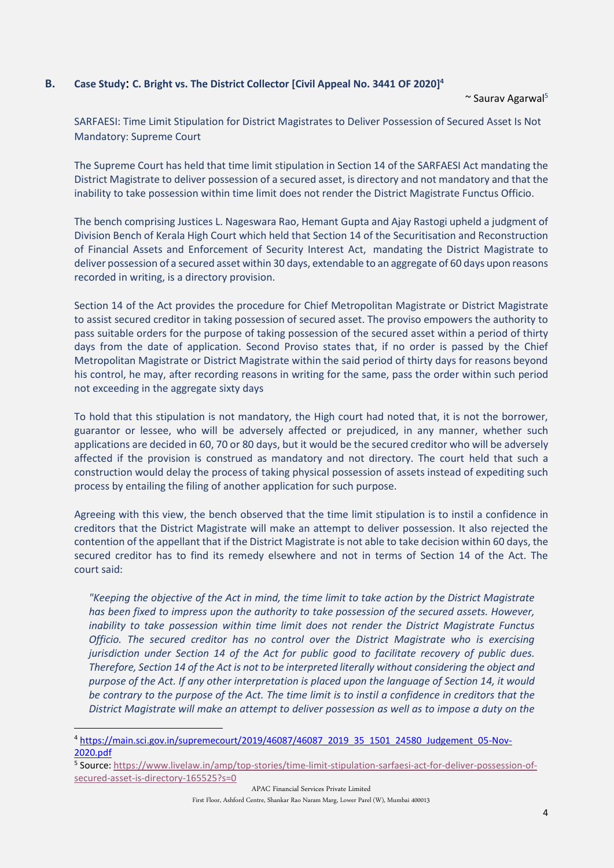#### <span id="page-3-0"></span>**B. Case Study**: **C. Bright vs. The District Collector [Civil Appeal No. 3441 OF 2020]<sup>4</sup>**

 $\sim$  Saurav Agarwal<sup>5</sup>

SARFAESI: Time Limit Stipulation for District Magistrates to Deliver Possession of Secured Asset Is Not Mandatory: Supreme Court

The Supreme Court has held that time limit stipulation in Section 14 of the SARFAESI Act mandating the District Magistrate to deliver possession of a secured asset, is directory and not mandatory and that the inability to take possession within time limit does not render the District Magistrate Functus Officio.

The bench comprising Justices L. Nageswara Rao, Hemant Gupta and Ajay Rastogi upheld a judgment of Division Bench of Kerala High Court which held that Section 14 of the Securitisation and Reconstruction of Financial Assets and Enforcement of Security Interest Act, mandating the District Magistrate to deliver possession of a secured asset within 30 days, extendable to an aggregate of 60 days upon reasons recorded in writing, is a directory provision.

Section 14 of the Act provides the procedure for Chief Metropolitan Magistrate or District Magistrate to assist secured creditor in taking possession of secured asset. The proviso empowers the authority to pass suitable orders for the purpose of taking possession of the secured asset within a period of thirty days from the date of application. Second Proviso states that, if no order is passed by the Chief Metropolitan Magistrate or District Magistrate within the said period of thirty days for reasons beyond his control, he may, after recording reasons in writing for the same, pass the order within such period not exceeding in the aggregate sixty days

To hold that this stipulation is not mandatory, the High court had noted that, it is not the borrower, guarantor or lessee, who will be adversely affected or prejudiced, in any manner, whether such applications are decided in 60, 70 or 80 days, but it would be the secured creditor who will be adversely affected if the provision is construed as mandatory and not directory. The court held that such a construction would delay the process of taking physical possession of assets instead of expediting such process by entailing the filing of another application for such purpose.

Agreeing with this view, the bench observed that the time limit stipulation is to instil a confidence in creditors that the District Magistrate will make an attempt to deliver possession. It also rejected the contention of the appellant that if the District Magistrate is not able to take decision within 60 days, the secured creditor has to find its remedy elsewhere and not in terms of Section 14 of the Act. The court said:

*"Keeping the objective of the Act in mind, the time limit to take action by the District Magistrate has been fixed to impress upon the authority to take possession of the secured assets. However, inability to take possession within time limit does not render the District Magistrate Functus Officio. The secured creditor has no control over the District Magistrate who is exercising jurisdiction under Section 14 of the Act for public good to facilitate recovery of public dues. Therefore, Section 14 of the Act is not to be interpreted literally without considering the object and purpose of the Act. If any other interpretation is placed upon the language of Section 14, it would be contrary to the purpose of the Act. The time limit is to instil a confidence in creditors that the District Magistrate will make an attempt to deliver possession as well as to impose a duty on the* 

<sup>4</sup> [https://main.sci.gov.in/supremecourt/2019/46087/46087\\_2019\\_35\\_1501\\_24580\\_Judgement\\_05-Nov-](https://main.sci.gov.in/supremecourt/2019/46087/46087_2019_35_1501_24580_Judgement_05-Nov-2020.pdf)[2020.pdf](https://main.sci.gov.in/supremecourt/2019/46087/46087_2019_35_1501_24580_Judgement_05-Nov-2020.pdf)

<sup>5</sup> Source: [https://www.livelaw.in/amp/top-stories/time-limit-stipulation-sarfaesi-act-for-deliver-possession-of](https://www.livelaw.in/amp/top-stories/time-limit-stipulation-sarfaesi-act-for-deliver-possession-of-secured-asset-is-directory-165525?s=0)[secured-asset-is-directory-165525?s=0](https://www.livelaw.in/amp/top-stories/time-limit-stipulation-sarfaesi-act-for-deliver-possession-of-secured-asset-is-directory-165525?s=0)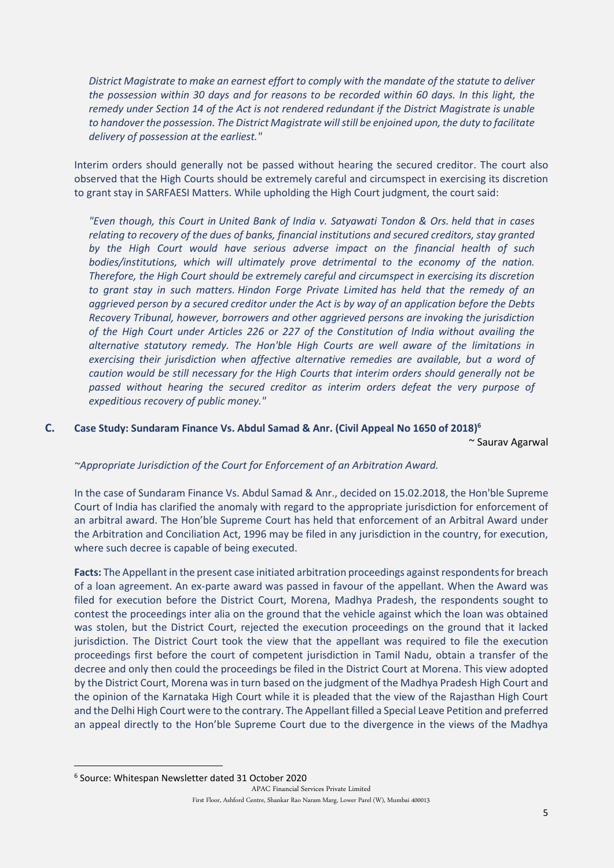*District Magistrate to make an earnest effort to comply with the mandate of the statute to deliver the possession within 30 days and for reasons to be recorded within 60 days. In this light, the remedy under Section 14 of the Act is not rendered redundant if the District Magistrate is unable to handover the possession. The District Magistrate will still be enjoined upon, the duty to facilitate delivery of possession at the earliest."*

Interim orders should generally not be passed without hearing the secured creditor. The court also observed that the High Courts should be extremely careful and circumspect in exercising its discretion to grant stay in SARFAESI Matters. While upholding the High Court judgment, the court said:

*"Even though, this Court in [United Bank of India v. Satyawati Tondon & Ors.](https://indiankanoon.org/doc/175816/) held that in cases relating to recovery of the dues of banks, financial institutions and secured creditors, stay granted by the High Court would have serious adverse impact on the financial health of such bodies/institutions, which will ultimately prove detrimental to the economy of the nation. Therefore, the High Court should be extremely careful and circumspect in exercising its discretion to grant stay in such matters. [Hindon Forge Private Limited](https://www.livelaw.in/sarfaesi-borrower-debtor-can-file-securitisation-application-at-the-stage-of-the-possession-notice-holds-sc/) has held that the remedy of an aggrieved person by a secured creditor under the Act is by way of an application before the Debts Recovery Tribunal, however, borrowers and other aggrieved persons are invoking the jurisdiction of the High Court under Articles 226 or 227 of the Constitution of India without availing the alternative statutory remedy. The Hon'ble High Courts are well aware of the limitations in exercising their jurisdiction when affective alternative remedies are available, but a word of caution would be still necessary for the High Courts that interim orders should generally not be passed without hearing the secured creditor as interim orders defeat the very purpose of expeditious recovery of public money."*

#### <span id="page-4-0"></span>**C. Case Study: Sundaram Finance Vs. Abdul Samad & Anr. (Civil Appeal No 1650 of 2018) 6**

~ Saurav Agarwal

#### *~Appropriate Jurisdiction of the Court for Enforcement of an Arbitration Award.*

In the case of Sundaram Finance Vs. Abdul Samad & Anr., decided on 15.02.2018, the Hon'ble Supreme Court of India has clarified the anomaly with regard to the appropriate jurisdiction for enforcement of an arbitral award. The Hon'ble Supreme Court has held that enforcement of an Arbitral Award under the Arbitration and Conciliation Act, 1996 may be filed in any jurisdiction in the country, for execution, where such decree is capable of being executed.

**Facts:** The Appellant in the present case initiated arbitration proceedings against respondents for breach of a loan agreement. An ex-parte award was passed in favour of the appellant. When the Award was filed for execution before the District Court, Morena, Madhya Pradesh, the respondents sought to contest the proceedings inter alia on the ground that the vehicle against which the loan was obtained was stolen, but the District Court, rejected the execution proceedings on the ground that it lacked jurisdiction. The District Court took the view that the appellant was required to file the execution proceedings first before the court of competent jurisdiction in Tamil Nadu, obtain a transfer of the decree and only then could the proceedings be filed in the District Court at Morena. This view adopted by the District Court, Morena was in turn based on the judgment of the Madhya Pradesh High Court and the opinion of the Karnataka High Court while it is pleaded that the view of the Rajasthan High Court and the Delhi High Court were to the contrary. The Appellant filled a Special Leave Petition and preferred an appeal directly to the Hon'ble Supreme Court due to the divergence in the views of the Madhya

<sup>6</sup> Source: Whitespan Newsletter dated 31 October 2020

APAC Financial Services Private Limited First Floor, Ashford Centre, Shankar Rao Naram Marg, Lower Parel (W), Mumbai 400013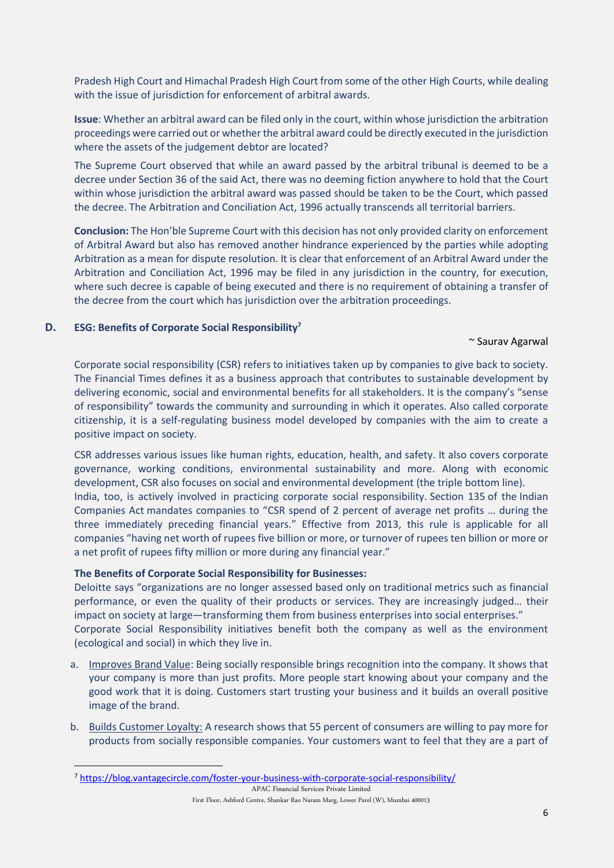Pradesh High Court and Himachal Pradesh High Court from some of the other High Courts, while dealing with the issue of jurisdiction for enforcement of arbitral awards.

**Issue**: Whether an arbitral award can be filed only in the court, within whose jurisdiction the arbitration proceedings were carried out or whether the arbitral award could be directly executed in the jurisdiction where the assets of the judgement debtor are located?

The Supreme Court observed that while an award passed by the arbitral tribunal is deemed to be a decree under Section 36 of the said Act, there was no deeming fiction anywhere to hold that the Court within whose jurisdiction the arbitral award was passed should be taken to be the Court, which passed the decree. The Arbitration and Conciliation Act, 1996 actually transcends all territorial barriers.

**Conclusion:** The Hon'ble Supreme Court with this decision has not only provided clarity on enforcement of Arbitral Award but also has removed another hindrance experienced by the parties while adopting Arbitration as a mean for dispute resolution. It is clear that enforcement of an Arbitral Award under the Arbitration and Conciliation Act, 1996 may be filed in any jurisdiction in the country, for execution, where such decree is capable of being executed and there is no requirement of obtaining a transfer of the decree from the court which has jurisdiction over the arbitration proceedings.

#### <span id="page-5-0"></span>**D. ESG: Benefits of Corporate Social Responsibility<sup>7</sup>**

#### ~ Saurav Agarwal

Corporate social responsibility (CSR) refers to initiatives taken up by companies to give back to society. The Financial Times defines it as a business approach that contributes to sustainable development by delivering economic, social and environmental benefits for all stakeholders. It is the company's "sense of responsibility" towards the community and surrounding in which it operates. Also called corporate citizenship, it is a self-regulating business model developed by companies with the aim to create a positive impact on society.

CSR addresses various issues like human rights, education, health, and [safety.](https://blog.vantagecircle.com/workplace-safety/) It also covers corporate governance, working conditions, environmental sustainability and more. Along with economic development, CSR also focuses on social and environmental development (the triple bottom line). India, too, is actively involved in practicing corporate social responsibility. Section 135 of the Indian Companies Act mandates companies to "CSR spend of 2 percent of average net profits … during the three immediately preceding financial years." Effective from 2013, this rule is applicable for all companies "having net worth of rupees five billion or more, or turnover of rupees ten billion or more or a net profit of rupees fifty million or more during any financial year."

#### **The Benefits of Corporate Social Responsibility for Businesses:**

Deloitte says "organizations are no longer assessed based only on traditional metrics such as financial performance, or even the quality of their products or services. They are increasingly judged… their impact on society at large—transforming them from business enterprises into social enterprises." Corporate Social Responsibility initiatives benefit both the company as well as the environment (ecological and social) in which they live in.

- a. Improves Brand Value: Being socially responsible brings [recognition](https://blog.vantagecircle.com/rewards-and-recognition-ideas/) into the company. It shows that your company is more than just profits. More people start knowing about your company and the good work that it is doing. Customers start trusting your business and it builds an overall positive image of the brand.
- b. Builds Customer Loyalty: A [research](https://doublethedonation.com/) shows that 55 percent of consumers are willing to pay more for products from socially responsible companies. Your customers want to feel that they are a part of

APAC Financial Services Private Limited First Floor, Ashford Centre, Shankar Rao Naram Marg, Lower Parel (W), Mumbai 400013

<sup>7</sup> <https://blog.vantagecircle.com/foster-your-business-with-corporate-social-responsibility/>